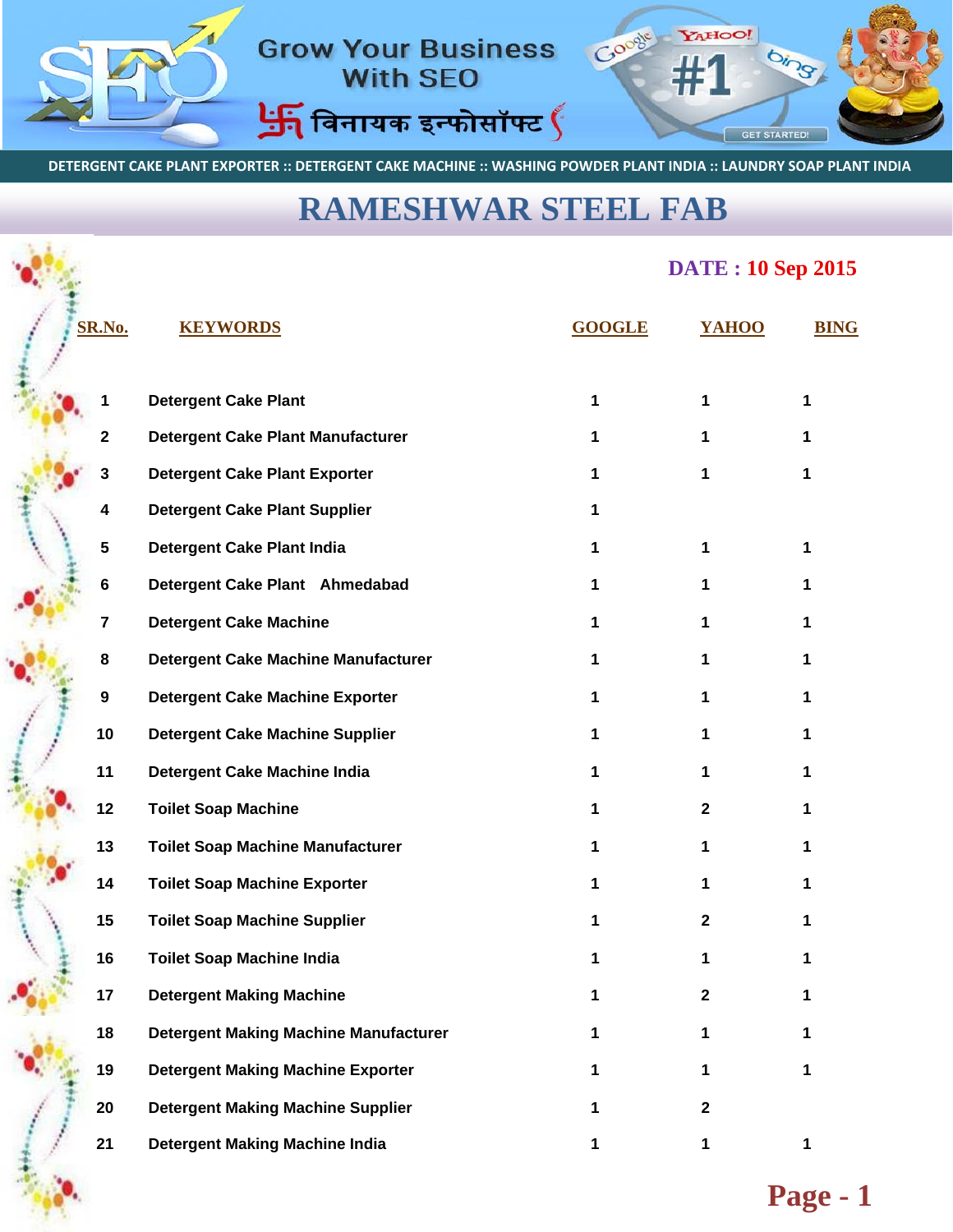

DETERGENT CAKE PLANT EXPORTER :: DETERGENT CAKE MACHINE :: WASHING POWDER PLANT INDIA :: LAUNDRY SOAP PLANT INDIA

## **[RAMESHWAR STEEL FAB](www.rameshwar.co.in)**

## **DATE : 10 Sep 2015**

| SR.No. |    | <b>KEYWORDS</b>                              | <b>GOOGLE</b> | YAHOO        | <b>BING</b> |
|--------|----|----------------------------------------------|---------------|--------------|-------------|
|        | 1  | <b>Detergent Cake Plant</b>                  | 1             | 1            | 1           |
|        | 2  | <b>Detergent Cake Plant Manufacturer</b>     |               | 1            |             |
|        | 3  | <b>Detergent Cake Plant Exporter</b>         |               | 1            | 1           |
|        | 4  | <b>Detergent Cake Plant Supplier</b>         |               |              |             |
|        | 5  | <b>Detergent Cake Plant India</b>            |               |              |             |
|        | 6  | Detergent Cake Plant Ahmedabad               | 1             |              | 1           |
|        | 7  | <b>Detergent Cake Machine</b>                | 1             |              | 1           |
|        | 8  | <b>Detergent Cake Machine Manufacturer</b>   | 1             | 1            | 1           |
|        | 9  | <b>Detergent Cake Machine Exporter</b>       | 1             | 1            | 1           |
|        | 10 | <b>Detergent Cake Machine Supplier</b>       | 1             | 1            | 1           |
|        | 11 | <b>Detergent Cake Machine India</b>          | 1             | 1            | 1           |
|        | 12 | <b>Toilet Soap Machine</b>                   |               | $\mathbf{2}$ | 1           |
|        | 13 | <b>Toilet Soap Machine Manufacturer</b>      | 1             | 1            | 1           |
|        | 14 | <b>Toilet Soap Machine Exporter</b>          |               | 1            | 1           |
|        | 15 | <b>Toilet Soap Machine Supplier</b>          |               | $\mathbf{2}$ |             |
|        | 16 | <b>Toilet Soap Machine India</b>             |               |              | 1           |
|        | 17 | <b>Detergent Making Machine</b>              |               |              |             |
|        | 18 | <b>Detergent Making Machine Manufacturer</b> | 1             | 1            | 1           |
|        | 19 | <b>Detergent Making Machine Exporter</b>     | 1             | 1            | 1           |
|        | 20 | <b>Detergent Making Machine Supplier</b>     | 1             | $\mathbf{2}$ |             |
|        | 21 | <b>Detergent Making Machine India</b>        | 1             | 1            | 1           |
|        |    |                                              |               |              |             |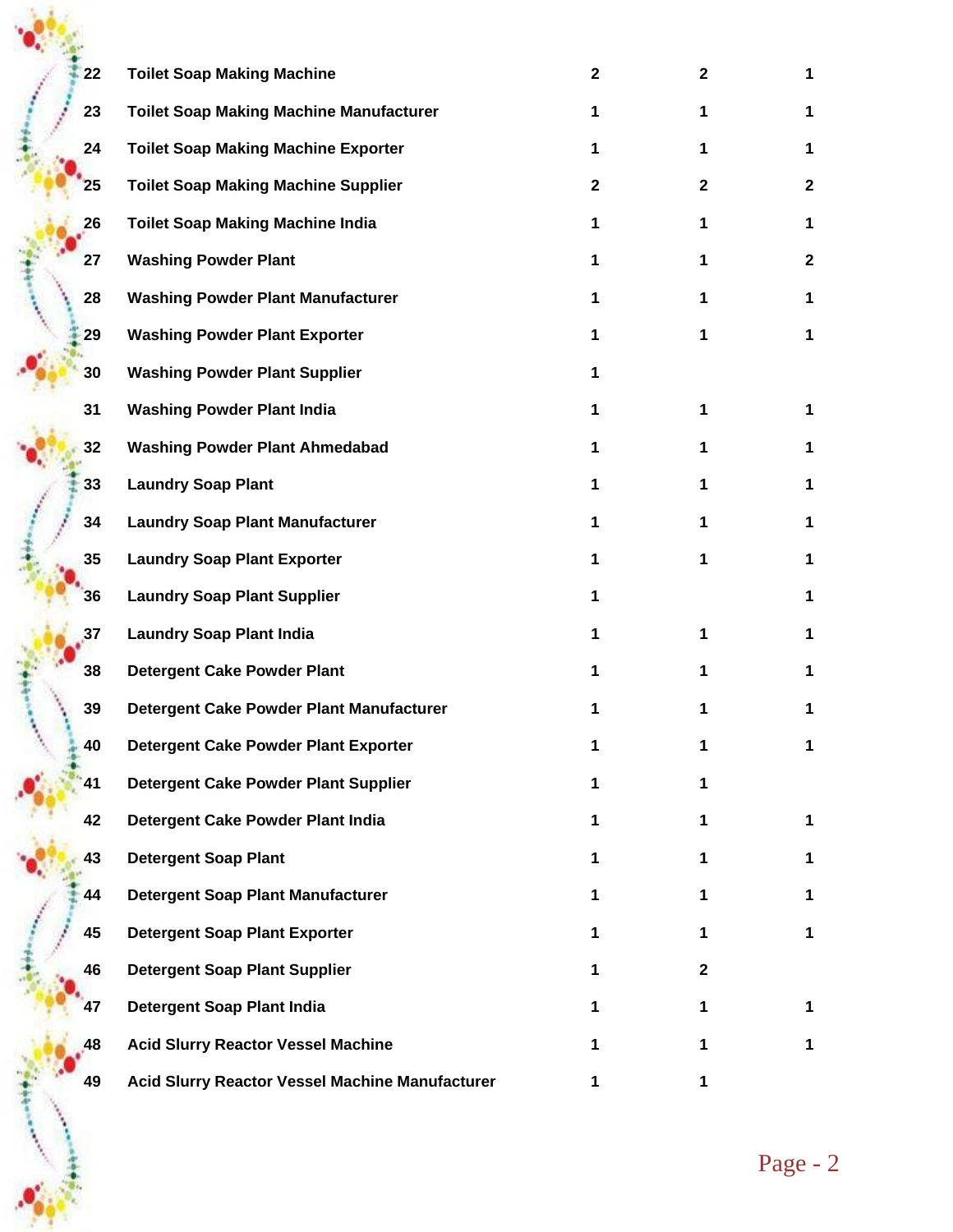| 22 | <b>Toilet Soap Making Machine</b>               | $\mathbf{2}$ | $\mathbf{2}$ | 1            |
|----|-------------------------------------------------|--------------|--------------|--------------|
| 23 | <b>Toilet Soap Making Machine Manufacturer</b>  | 1            | 1            | 1            |
| 24 | <b>Toilet Soap Making Machine Exporter</b>      | 1            | 1            | 1.           |
| 25 | <b>Toilet Soap Making Machine Supplier</b>      | $\mathbf{2}$ | $\mathbf{2}$ | $\mathbf{2}$ |
| 26 | <b>Toilet Soap Making Machine India</b>         | 1            | 1            | 1            |
| 27 | <b>Washing Powder Plant</b>                     | 1            | 1            | $\mathbf{2}$ |
| 28 | <b>Washing Powder Plant Manufacturer</b>        | 1            | 1            | 1            |
| 29 | <b>Washing Powder Plant Exporter</b>            | 1            | 1            | 1            |
| 30 | <b>Washing Powder Plant Supplier</b>            | 1            |              |              |
| 31 | <b>Washing Powder Plant India</b>               | 1            | 1            | 1            |
| 32 | <b>Washing Powder Plant Ahmedabad</b>           | 1            | 1            | 1            |
| 33 | <b>Laundry Soap Plant</b>                       | 1            | 1            | 1            |
| 34 | <b>Laundry Soap Plant Manufacturer</b>          | 1            | 1            | 1            |
| 35 | <b>Laundry Soap Plant Exporter</b>              | 1            | 1.           | 1            |
| 36 | <b>Laundry Soap Plant Supplier</b>              | 1            |              | 1            |
| 37 | <b>Laundry Soap Plant India</b>                 | 1            | 1            | 1            |
| 38 | <b>Detergent Cake Powder Plant</b>              | 1            | 1            | 1            |
| 39 | Detergent Cake Powder Plant Manufacturer        |              |              |              |
| 40 | <b>Detergent Cake Powder Plant Exporter</b>     | 1            |              |              |
| 41 | Detergent Cake Powder Plant Supplier            | 1            | 1            |              |
| 42 | Detergent Cake Powder Plant India               | 1            | 1.           | 1            |
| 43 | <b>Detergent Soap Plant</b>                     | 1            | 1.           | 1            |
| 44 | <b>Detergent Soap Plant Manufacturer</b>        | 1            | 1.           | 1            |
| 45 | <b>Detergent Soap Plant Exporter</b>            | 1            | 1.           | 1            |
| 46 | <b>Detergent Soap Plant Supplier</b>            | 1            | $\mathbf{2}$ |              |
| 47 | <b>Detergent Soap Plant India</b>               | 1            | 1.           | 1            |
| 48 | <b>Acid Slurry Reactor Vessel Machine</b>       | 1            | 1.           | 1            |
| 49 | Acid Slurry Reactor Vessel Machine Manufacturer | 1            | 1            |              |

→ 東京 Product の Product の Product の Product の Product の Product の Product の Product の Product の Product の Produ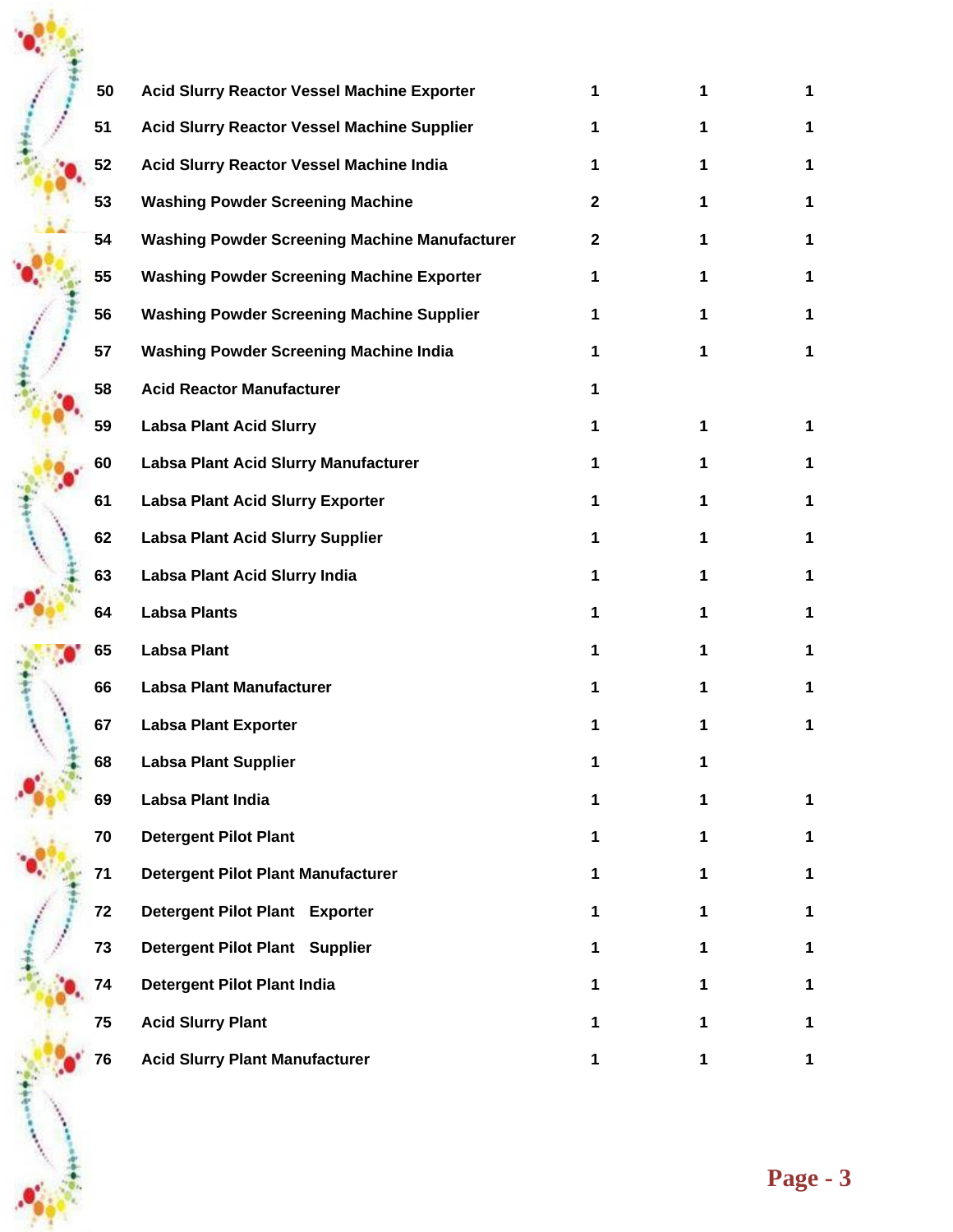| 50 | Acid Slurry Reactor Vessel Machine Exporter          |    |             |             |
|----|------------------------------------------------------|----|-------------|-------------|
| 51 | <b>Acid Slurry Reactor Vessel Machine Supplier</b>   |    |             |             |
| 52 | Acid Slurry Reactor Vessel Machine India             |    |             | 1           |
| 53 | <b>Washing Powder Screening Machine</b>              | 2  |             | 1           |
| 54 | <b>Washing Powder Screening Machine Manufacturer</b> | 2  |             | 1           |
| 55 | <b>Washing Powder Screening Machine Exporter</b>     |    |             | 1           |
| 56 | <b>Washing Powder Screening Machine Supplier</b>     |    |             | 1           |
| 57 | <b>Washing Powder Screening Machine India</b>        |    | 1           | 1           |
| 58 | <b>Acid Reactor Manufacturer</b>                     |    |             |             |
| 59 | <b>Labsa Plant Acid Slurry</b>                       | 1  | 1           | 1           |
| 60 | Labsa Plant Acid Slurry Manufacturer                 | 1. | 1           | 1           |
| 61 | <b>Labsa Plant Acid Slurry Exporter</b>              | 1. | 1           | 1           |
| 62 | <b>Labsa Plant Acid Slurry Supplier</b>              | 1. | 1.          | 1           |
| 63 | Labsa Plant Acid Slurry India                        | 1. | 1.          | 1           |
| 64 | <b>Labsa Plants</b>                                  | 1  |             | 1           |
| 65 | <b>Labsa Plant</b>                                   | 1  |             | 1           |
| 66 | <b>Labsa Plant Manufacturer</b>                      |    |             |             |
| 67 | <b>Labsa Plant Exporter</b>                          |    |             | 1           |
| 68 | <b>Labsa Plant Supplier</b>                          |    |             |             |
| 69 | Labsa Plant India                                    | 1  | 1           | $\mathbf 1$ |
| 70 | <b>Detergent Pilot Plant</b>                         | 1  | 1.          | 1           |
| 71 | <b>Detergent Pilot Plant Manufacturer</b>            | 1  | 1           | $\mathbf 1$ |
| 72 | Detergent Pilot Plant Exporter                       | 1. | 1           | $\mathbf 1$ |
| 73 | Detergent Pilot Plant Supplier                       |    | 1.          | 1           |
| 74 | <b>Detergent Pilot Plant India</b>                   |    |             | 1           |
| 75 | <b>Acid Slurry Plant</b>                             |    | 1.          | 1           |
| 76 | <b>Acid Slurry Plant Manufacturer</b>                | 1  | $\mathbf 1$ | 1           |

 $\bullet_{\bullet\bullet}^*$